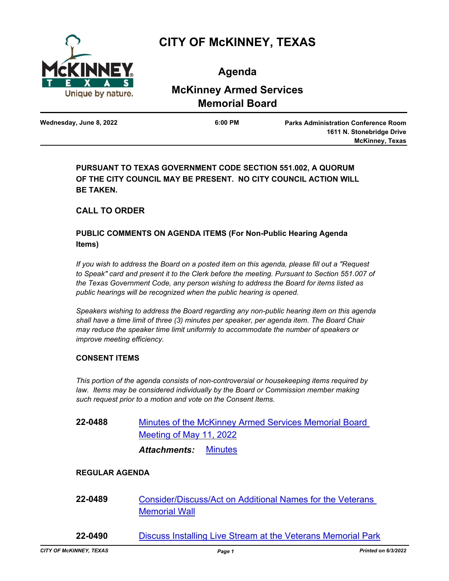

# **CITY OF McKINNEY, TEXAS**

**Agenda**

# **McKinney Armed Services Memorial Board**

**Wednesday, June 8, 2022 6:00 PM**

**Parks Administration Conference Room 1611 N. Stonebridge Drive McKinney, Texas**

**PURSUANT TO TEXAS GOVERNMENT CODE SECTION 551.002, A QUORUM OF THE CITY COUNCIL MAY BE PRESENT. NO CITY COUNCIL ACTION WILL BE TAKEN.**

# **CALL TO ORDER**

## **PUBLIC COMMENTS ON AGENDA ITEMS (For Non-Public Hearing Agenda Items)**

*If you wish to address the Board on a posted item on this agenda, please fill out a "Request*  to Speak" card and present it to the Clerk before the meeting. Pursuant to Section 551.007 of *the Texas Government Code, any person wishing to address the Board for items listed as public hearings will be recognized when the public hearing is opened.*

*Speakers wishing to address the Board regarding any non-public hearing item on this agenda shall have a time limit of three (3) minutes per speaker, per agenda item. The Board Chair may reduce the speaker time limit uniformly to accommodate the number of speakers or improve meeting efficiency.*

#### **CONSENT ITEMS**

*This portion of the agenda consists of non-controversial or housekeeping items required by*  law. Items may be considered individually by the Board or Commission member making *such request prior to a motion and vote on the Consent Items.*

**22-0488** [Minutes of the McKinney Armed Services Memorial Board](http://mckinney.legistar.com/gateway.aspx?m=l&id=23923)  Meeting of May 11, 2022 *Attachments:* [Minutes](http://McKinney.legistar.com/gateway.aspx?M=F&ID=1d96905e-5c6f-478f-8ba6-80ca56ed1766.pdf)

### **REGULAR AGENDA**

- **22-0489** [Consider/Discuss/Act on Additional Names for the Veterans](http://mckinney.legistar.com/gateway.aspx?m=l&id=23926)  Memorial Wall
- **22-0490** [Discuss Installing Live Stream at the Veterans Memorial Park](http://mckinney.legistar.com/gateway.aspx?m=l&id=23930)